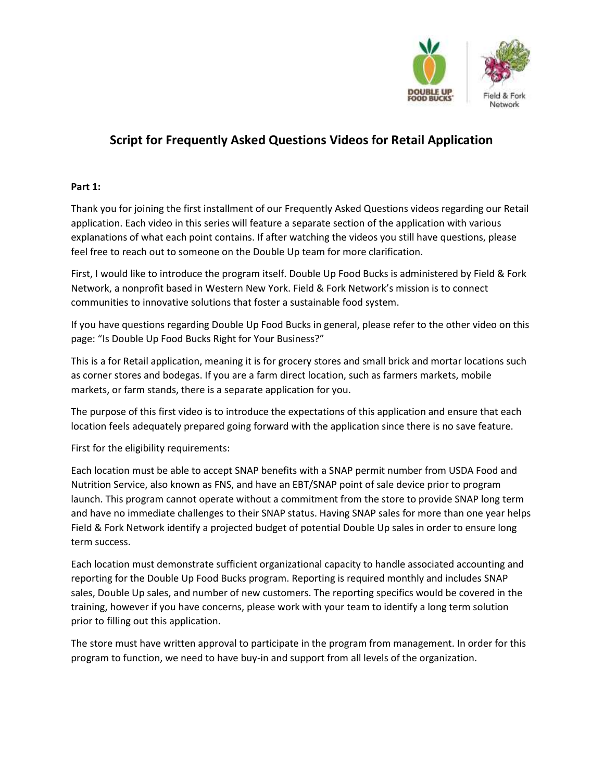

# Script for Frequently Asked Questions Videos for Retail Application

## Part 1:

Thank you for joining the first installment of our Frequently Asked Questions videos regarding our Retail application. Each video in this series will feature a separate section of the application with various explanations of what each point contains. If after watching the videos you still have questions, please feel free to reach out to someone on the Double Up team for more clarification.

First, I would like to introduce the program itself. Double Up Food Bucks is administered by Field & Fork Network, a nonprofit based in Western New York. Field & Fork Network's mission is to connect communities to innovative solutions that foster a sustainable food system.

If you have questions regarding Double Up Food Bucks in general, please refer to the other video on this page: "Is Double Up Food Bucks Right for Your Business?"

This is a for Retail application, meaning it is for grocery stores and small brick and mortar locations such as corner stores and bodegas. If you are a farm direct location, such as farmers markets, mobile markets, or farm stands, there is a separate application for you.

The purpose of this first video is to introduce the expectations of this application and ensure that each location feels adequately prepared going forward with the application since there is no save feature.

First for the eligibility requirements:

Each location must be able to accept SNAP benefits with a SNAP permit number from USDA Food and Nutrition Service, also known as FNS, and have an EBT/SNAP point of sale device prior to program launch. This program cannot operate without a commitment from the store to provide SNAP long term and have no immediate challenges to their SNAP status. Having SNAP sales for more than one year helps Field & Fork Network identify a projected budget of potential Double Up sales in order to ensure long term success.

Each location must demonstrate sufficient organizational capacity to handle associated accounting and reporting for the Double Up Food Bucks program. Reporting is required monthly and includes SNAP sales, Double Up sales, and number of new customers. The reporting specifics would be covered in the training, however if you have concerns, please work with your team to identify a long term solution prior to filling out this application.

The store must have written approval to participate in the program from management. In order for this program to function, we need to have buy-in and support from all levels of the organization.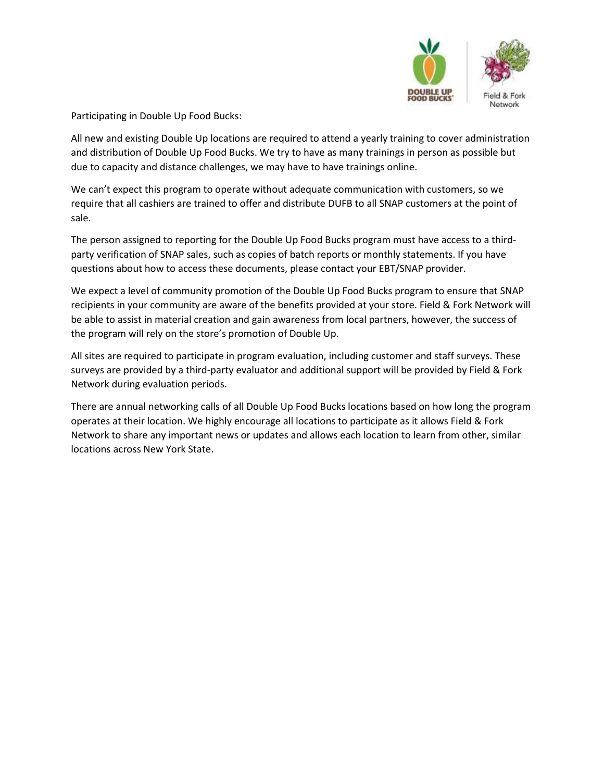

Participating in Double Up Food Bucks:

All new and existing Double Up locations are required to attend a yearly training to cover administration and distribution of Double Up Food Bucks. We try to have as many trainings in person as possible but due to capacity and distance challenges, we may have to have trainings online.

We can't expect this program to operate without adequate communication with customers, so we require that all cashiers are trained to offer and distribute DUFB to all SNAP customers at the point of sale.

The person assigned to reporting for the Double Up Food Bucks program must have access to a thirdparty verification of SNAP sales, such as copies of batch reports or monthly statements. If you have questions about how to access these documents, please contact your EBT/SNAP provider.

We expect a level of community promotion of the Double Up Food Bucks program to ensure that SNAP recipients in your community are aware of the benefits provided at your store. Field & Fork Network will be able to assist in material creation and gain awareness from local partners, however, the success of the program will rely on the store's promotion of Double Up.

All sites are required to participate in program evaluation, including customer and staff surveys. These surveys are provided by a third-party evaluator and additional support will be provided by Field & Fork Network during evaluation periods.

There are annual networking calls of all Double Up Food Bucks locations based on how long the program operates at their location. We highly encourage all locations to participate as it allows Field & Fork Network to share any important news or updates and allows each location to learn from other, similar locations across New York State.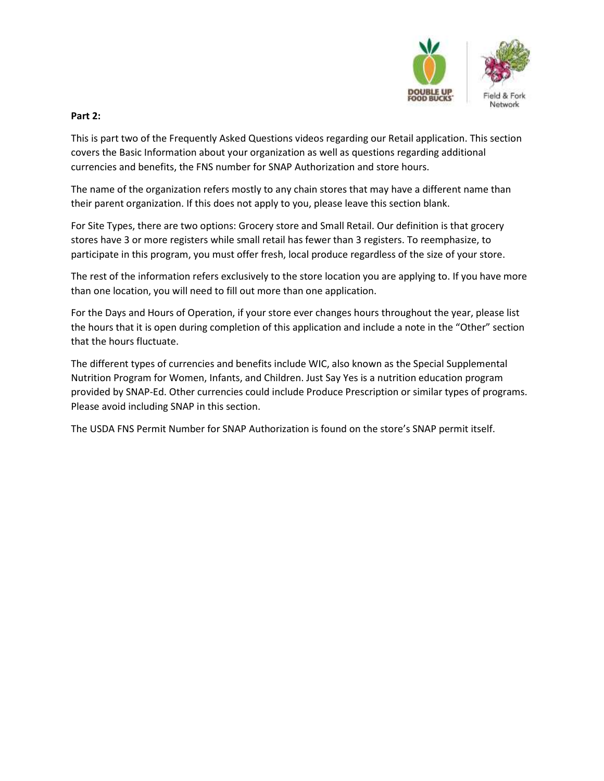

### Part 2:

This is part two of the Frequently Asked Questions videos regarding our Retail application. This section covers the Basic Information about your organization as well as questions regarding additional currencies and benefits, the FNS number for SNAP Authorization and store hours.

The name of the organization refers mostly to any chain stores that may have a different name than their parent organization. If this does not apply to you, please leave this section blank.

For Site Types, there are two options: Grocery store and Small Retail. Our definition is that grocery stores have 3 or more registers while small retail has fewer than 3 registers. To reemphasize, to participate in this program, you must offer fresh, local produce regardless of the size of your store.

The rest of the information refers exclusively to the store location you are applying to. If you have more than one location, you will need to fill out more than one application.

For the Days and Hours of Operation, if your store ever changes hours throughout the year, please list the hours that it is open during completion of this application and include a note in the "Other" section that the hours fluctuate.

The different types of currencies and benefits include WIC, also known as the Special Supplemental Nutrition Program for Women, Infants, and Children. Just Say Yes is a nutrition education program provided by SNAP-Ed. Other currencies could include Produce Prescription or similar types of programs. Please avoid including SNAP in this section.

The USDA FNS Permit Number for SNAP Authorization is found on the store's SNAP permit itself.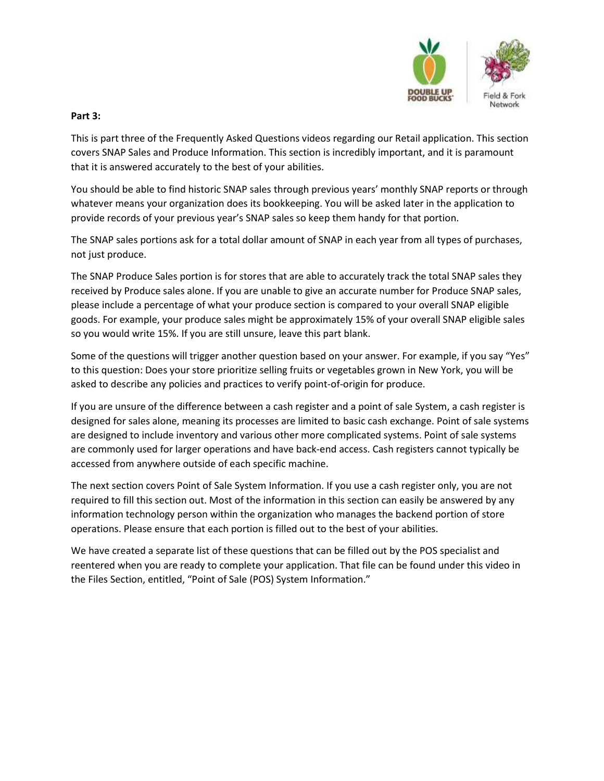

#### Part 3:

This is part three of the Frequently Asked Questions videos regarding our Retail application. This section covers SNAP Sales and Produce Information. This section is incredibly important, and it is paramount that it is answered accurately to the best of your abilities.

You should be able to find historic SNAP sales through previous years' monthly SNAP reports or through whatever means your organization does its bookkeeping. You will be asked later in the application to provide records of your previous year's SNAP sales so keep them handy for that portion.

The SNAP sales portions ask for a total dollar amount of SNAP in each year from all types of purchases, not just produce.

The SNAP Produce Sales portion is for stores that are able to accurately track the total SNAP sales they received by Produce sales alone. If you are unable to give an accurate number for Produce SNAP sales, please include a percentage of what your produce section is compared to your overall SNAP eligible goods. For example, your produce sales might be approximately 15% of your overall SNAP eligible sales so you would write 15%. If you are still unsure, leave this part blank.

Some of the questions will trigger another question based on your answer. For example, if you say "Yes" to this question: Does your store prioritize selling fruits or vegetables grown in New York, you will be asked to describe any policies and practices to verify point-of-origin for produce.

If you are unsure of the difference between a cash register and a point of sale System, a cash register is designed for sales alone, meaning its processes are limited to basic cash exchange. Point of sale systems are designed to include inventory and various other more complicated systems. Point of sale systems are commonly used for larger operations and have back-end access. Cash registers cannot typically be accessed from anywhere outside of each specific machine.

The next section covers Point of Sale System Information. If you use a cash register only, you are not required to fill this section out. Most of the information in this section can easily be answered by any information technology person within the organization who manages the backend portion of store operations. Please ensure that each portion is filled out to the best of your abilities.

We have created a separate list of these questions that can be filled out by the POS specialist and reentered when you are ready to complete your application. That file can be found under this video in the Files Section, entitled, "Point of Sale (POS) System Information."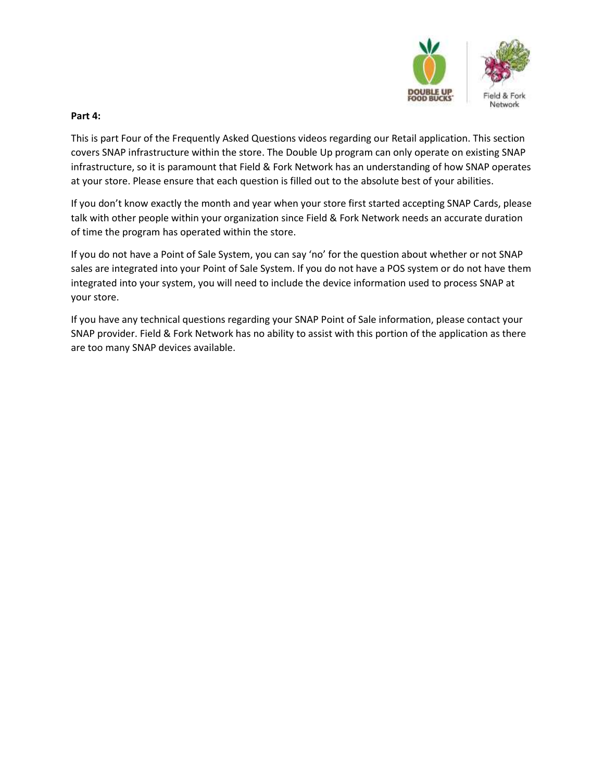

#### Part 4:

This is part Four of the Frequently Asked Questions videos regarding our Retail application. This section covers SNAP infrastructure within the store. The Double Up program can only operate on existing SNAP infrastructure, so it is paramount that Field & Fork Network has an understanding of how SNAP operates at your store. Please ensure that each question is filled out to the absolute best of your abilities.

If you don't know exactly the month and year when your store first started accepting SNAP Cards, please talk with other people within your organization since Field & Fork Network needs an accurate duration of time the program has operated within the store.

If you do not have a Point of Sale System, you can say 'no' for the question about whether or not SNAP sales are integrated into your Point of Sale System. If you do not have a POS system or do not have them integrated into your system, you will need to include the device information used to process SNAP at your store.

If you have any technical questions regarding your SNAP Point of Sale information, please contact your SNAP provider. Field & Fork Network has no ability to assist with this portion of the application as there are too many SNAP devices available.